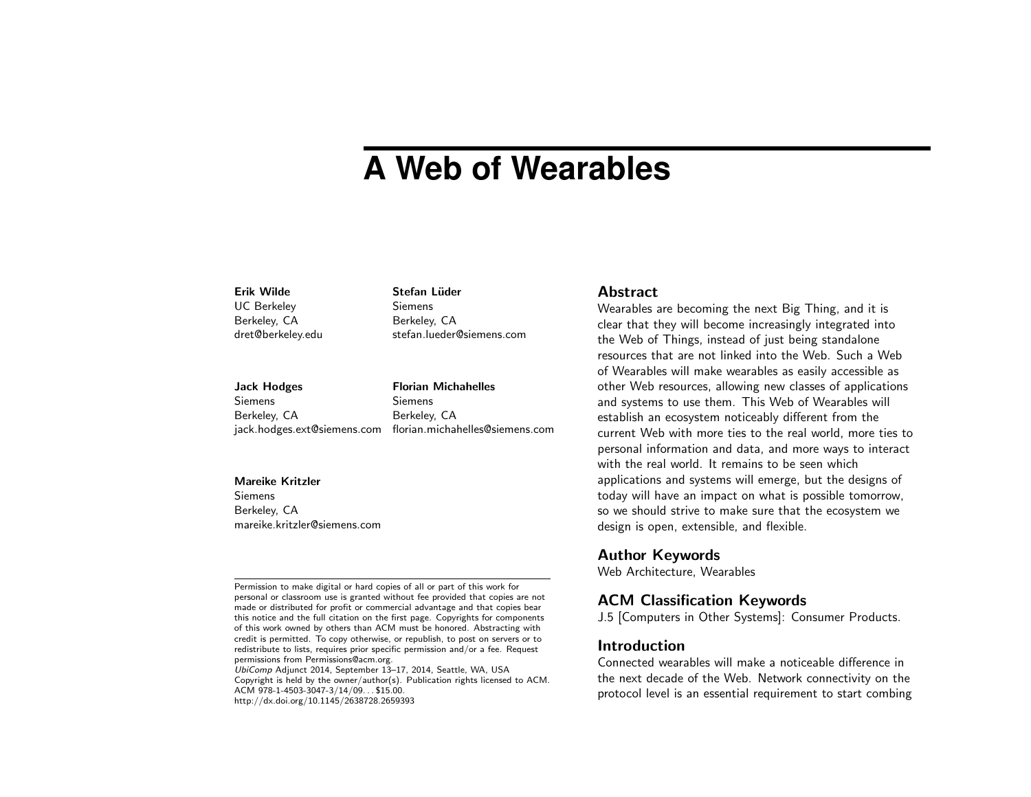# **A Web of Wearables**

#### Erik Wilde

UC Berkeley Berkeley, CA dret@berkeley.edu

## Stefan Lüder Siemens Berkeley, CA stefan.lueder@siemens.com

Florian Michahelles

#### Jack Hodges

Siemens Berkeley, CA jack.hodges.ext@siemens.com Siemens Berkeley, CA florian.michahelles@siemens.com

### Mareike Kritzler

Siemens Berkeley, CA mareike.kritzler@siemens.com

Permission to make digital or hard copies of all or part of this work for personal or classroom use is granted without fee provided that copies are not made or distributed for profit or commercial advantage and that copies bear this notice and the full citation on the first page. Copyrights for components of this work owned by others than ACM must be honored. Abstracting with credit is permitted. To copy otherwise, or republish, to post on servers or to redistribute to lists, requires prior specific permission and/or a fee. Request permissions from Permissions@acm.org.

UbiComp Adjunct 2014, September 13–17, 2014, Seattle, WA, USA Copyright is held by the owner/author(s). Publication rights licensed to ACM. ACM 978-1-4503-3047-3/14/09. . . \$15.00.

http://dx.doi.org/10.1145/2638728.2659393

# Abstract

Wearables are becoming the next Big Thing, and it is clear that they will become increasingly integrated into the Web of Things, instead of just being standalone resources that are not linked into the Web. Such a Web of Wearables will make wearables as easily accessible as other Web resources, allowing new classes of applications and systems to use them. This Web of Wearables will establish an ecosystem noticeably different from the current Web with more ties to the real world, more ties to personal information and data, and more ways to interact with the real world. It remains to be seen which applications and systems will emerge, but the designs of today will have an impact on what is possible tomorrow, so we should strive to make sure that the ecosystem we design is open, extensible, and flexible.

# Author Keywords

Web Architecture, Wearables

# ACM Classification Keywords

J.5 [Computers in Other Systems]: Consumer Products.

# **Introduction**

Connected wearables will make a noticeable difference in the next decade of the Web. Network connectivity on the protocol level is an essential requirement to start combing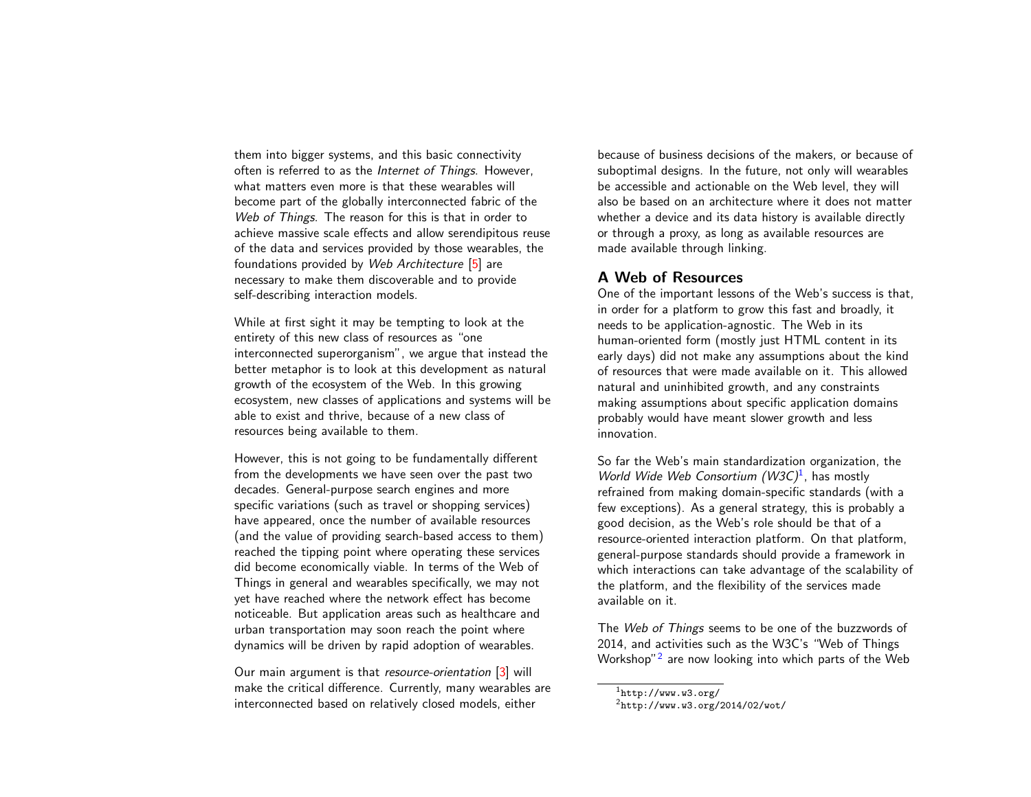them into bigger systems, and this basic connectivity often is referred to as the Internet of Things. However, what matters even more is that these wearables will become part of the globally interconnected fabric of the Web of Things. The reason for this is that in order to achieve massive scale effects and allow serendipitous reuse of the data and services provided by those wearables, the foundations provided by Web Architecture [\[5\]](#page-5-0) are necessary to make them discoverable and to provide self-describing interaction models.

While at first sight it may be tempting to look at the entirety of this new class of resources as "one interconnected superorganism", we argue that instead the better metaphor is to look at this development as natural growth of the ecosystem of the Web. In this growing ecosystem, new classes of applications and systems will be able to exist and thrive, because of a new class of resources being available to them.

However, this is not going to be fundamentally different from the developments we have seen over the past two decades. General-purpose search engines and more specific variations (such as travel or shopping services) have appeared, once the number of available resources (and the value of providing search-based access to them) reached the tipping point where operating these services did become economically viable. In terms of the Web of Things in general and wearables specifically, we may not yet have reached where the network effect has become noticeable. But application areas such as healthcare and urban transportation may soon reach the point where dynamics will be driven by rapid adoption of wearables.

Our main argument is that resource-orientation [\[3\]](#page-5-1) will make the critical difference. Currently, many wearables are interconnected based on relatively closed models, either

because of business decisions of the makers, or because of suboptimal designs. In the future, not only will wearables be accessible and actionable on the Web level, they will also be based on an architecture where it does not matter whether a device and its data history is available directly or through a proxy, as long as available resources are made available through linking.

# A Web of Resources

One of the important lessons of the Web's success is that, in order for a platform to grow this fast and broadly, it needs to be application-agnostic. The Web in its human-oriented form (mostly just HTML content in its early days) did not make any assumptions about the kind of resources that were made available on it. This allowed natural and uninhibited growth, and any constraints making assumptions about specific application domains probably would have meant slower growth and less innovation.

So far the Web's main standardization organization, the World Wide Web Consortium  $(W3C)^1$  $(W3C)^1$ , has mostly refrained from making domain-specific standards (with a few exceptions). As a general strategy, this is probably a good decision, as the Web's role should be that of a resource-oriented interaction platform. On that platform, general-purpose standards should provide a framework in which interactions can take advantage of the scalability of the platform, and the flexibility of the services made available on it.

The Web of Things seems to be one of the buzzwords of 2014, and activities such as the W3C's "Web of Things Workshop"<sup>[2](#page-1-1)</sup> are now looking into which parts of the Web

<span id="page-1-1"></span><span id="page-1-0"></span> $1$ http://www.w3.org/  $^{2}$ http://www.w3.org/2014/02/wot/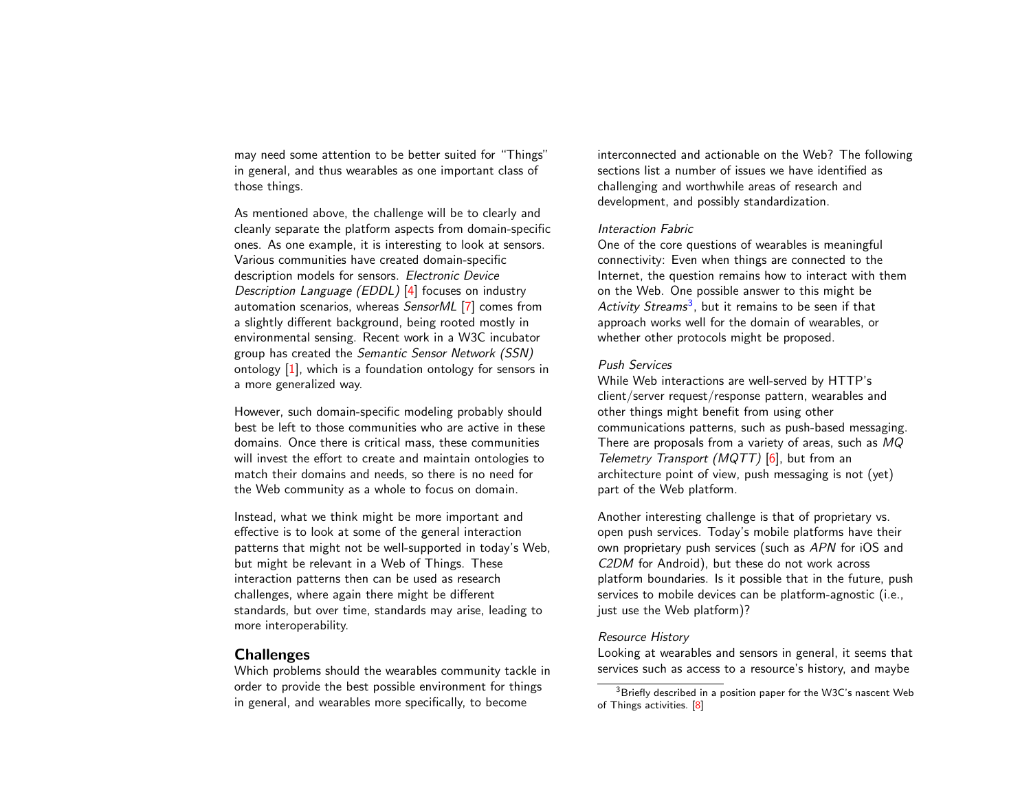may need some attention to be better suited for "Things" in general, and thus wearables as one important class of those things.

As mentioned above, the challenge will be to clearly and cleanly separate the platform aspects from domain-specific ones. As one example, it is interesting to look at sensors. Various communities have created domain-specific description models for sensors. Electronic Device Description Language (EDDL) [\[4\]](#page-5-2) focuses on industry automation scenarios, whereas SensorML [\[7\]](#page-5-3) comes from a slightly different background, being rooted mostly in environmental sensing. Recent work in a W3C incubator group has created the Semantic Sensor Network (SSN) ontology [\[1\]](#page-5-4), which is a foundation ontology for sensors in a more generalized way.

However, such domain-specific modeling probably should best be left to those communities who are active in these domains. Once there is critical mass, these communities will invest the effort to create and maintain ontologies to match their domains and needs, so there is no need for the Web community as a whole to focus on domain.

Instead, what we think might be more important and effective is to look at some of the general interaction patterns that might not be well-supported in today's Web, but might be relevant in a Web of Things. These interaction patterns then can be used as research challenges, where again there might be different standards, but over time, standards may arise, leading to more interoperability.

# **Challenges**

Which problems should the wearables community tackle in order to provide the best possible environment for things in general, and wearables more specifically, to become

interconnected and actionable on the Web? The following sections list a number of issues we have identified as challenging and worthwhile areas of research and development, and possibly standardization.

## Interaction Fabric

One of the core questions of wearables is meaningful connectivity: Even when things are connected to the Internet, the question remains how to interact with them on the Web. One possible answer to this might be A*ctivity Streams<sup>[3](#page-2-0)</sup>,* but it remains to be seen if that approach works well for the domain of wearables, or whether other protocols might be proposed.

# Push Services

While Web interactions are well-served by HTTP's client/server request/response pattern, wearables and other things might benefit from using other communications patterns, such as push-based messaging. There are proposals from a variety of areas, such as MQ Telemetry Transport (MQTT) [\[6\]](#page-5-5), but from an architecture point of view, push messaging is not (yet) part of the Web platform.

Another interesting challenge is that of proprietary vs. open push services. Today's mobile platforms have their own proprietary push services (such as APN for iOS and C2DM for Android), but these do not work across platform boundaries. Is it possible that in the future, push services to mobile devices can be platform-agnostic (i.e., just use the Web platform)?

#### Resource History

Looking at wearables and sensors in general, it seems that services such as access to a resource's history, and maybe

<span id="page-2-0"></span><sup>3</sup>Briefly described in a position paper for the W3C's nascent Web of Things activities. [\[8\]](#page-5-6)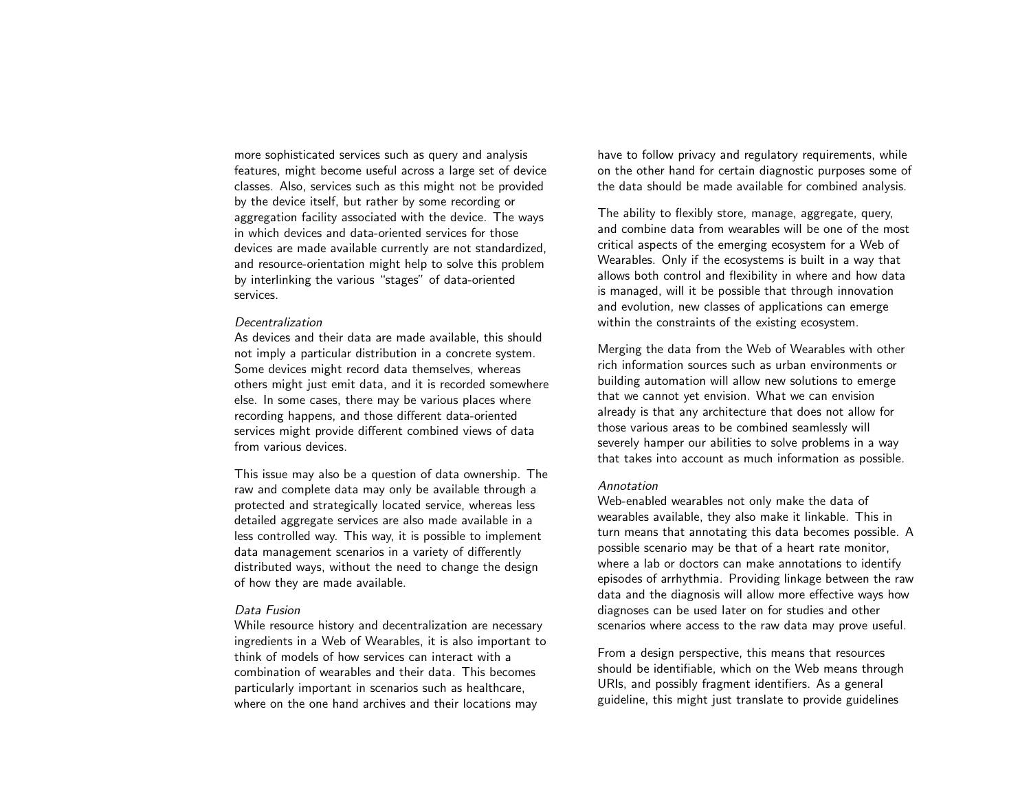more sophisticated services such as query and analysis features, might become useful across a large set of device classes. Also, services such as this might not be provided by the device itself, but rather by some recording or aggregation facility associated with the device. The ways in which devices and data-oriented services for those devices are made available currently are not standardized, and resource-orientation might help to solve this problem by interlinking the various "stages" of data-oriented services.

#### Decentralization

As devices and their data are made available, this should not imply a particular distribution in a concrete system. Some devices might record data themselves, whereas others might just emit data, and it is recorded somewhere else. In some cases, there may be various places where recording happens, and those different data-oriented services might provide different combined views of data from various devices.

This issue may also be a question of data ownership. The raw and complete data may only be available through a protected and strategically located service, whereas less detailed aggregate services are also made available in a less controlled way. This way, it is possible to implement data management scenarios in a variety of differently distributed ways, without the need to change the design of how they are made available.

### Data Fusion

While resource history and decentralization are necessary ingredients in a Web of Wearables, it is also important to think of models of how services can interact with a combination of wearables and their data. This becomes particularly important in scenarios such as healthcare, where on the one hand archives and their locations may

have to follow privacy and regulatory requirements, while on the other hand for certain diagnostic purposes some of the data should be made available for combined analysis.

The ability to flexibly store, manage, aggregate, query, and combine data from wearables will be one of the most critical aspects of the emerging ecosystem for a Web of Wearables. Only if the ecosystems is built in a way that allows both control and flexibility in where and how data is managed, will it be possible that through innovation and evolution, new classes of applications can emerge within the constraints of the existing ecosystem.

Merging the data from the Web of Wearables with other rich information sources such as urban environments or building automation will allow new solutions to emerge that we cannot yet envision. What we can envision already is that any architecture that does not allow for those various areas to be combined seamlessly will severely hamper our abilities to solve problems in a way that takes into account as much information as possible.

### Annotation

Web-enabled wearables not only make the data of wearables available, they also make it linkable. This in turn means that annotating this data becomes possible. A possible scenario may be that of a heart rate monitor, where a lab or doctors can make annotations to identify episodes of arrhythmia. Providing linkage between the raw data and the diagnosis will allow more effective ways how diagnoses can be used later on for studies and other scenarios where access to the raw data may prove useful.

From a design perspective, this means that resources should be identifiable, which on the Web means through URIs, and possibly fragment identifiers. As a general guideline, this might just translate to provide guidelines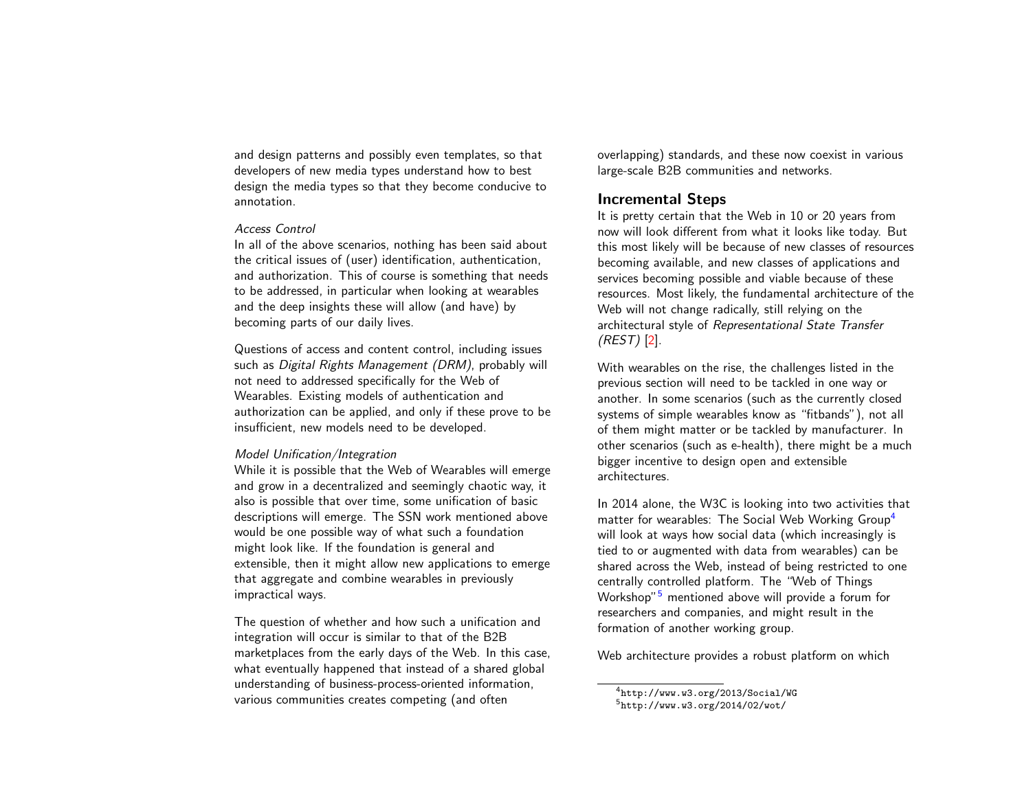and design patterns and possibly even templates, so that developers of new media types understand how to best design the media types so that they become conducive to annotation.

## Access Control

In all of the above scenarios, nothing has been said about the critical issues of (user) identification, authentication, and authorization. This of course is something that needs to be addressed, in particular when looking at wearables and the deep insights these will allow (and have) by becoming parts of our daily lives.

Questions of access and content control, including issues such as *Digital Rights Management (DRM)*, probably will not need to addressed specifically for the Web of Wearables. Existing models of authentication and authorization can be applied, and only if these prove to be insufficient, new models need to be developed.

#### Model Unification/Integration

While it is possible that the Web of Wearables will emerge and grow in a decentralized and seemingly chaotic way, it also is possible that over time, some unification of basic descriptions will emerge. The SSN work mentioned above would be one possible way of what such a foundation might look like. If the foundation is general and extensible, then it might allow new applications to emerge that aggregate and combine wearables in previously impractical ways.

The question of whether and how such a unification and integration will occur is similar to that of the B2B marketplaces from the early days of the Web. In this case, what eventually happened that instead of a shared global understanding of business-process-oriented information, various communities creates competing (and often

overlapping) standards, and these now coexist in various large-scale B2B communities and networks.

# Incremental Steps

It is pretty certain that the Web in 10 or 20 years from now will look different from what it looks like today. But this most likely will be because of new classes of resources becoming available, and new classes of applications and services becoming possible and viable because of these resources. Most likely, the fundamental architecture of the Web will not change radically, still relying on the architectural style of Representational State Transfer (REST) [\[2\]](#page-5-7).

With wearables on the rise, the challenges listed in the previous section will need to be tackled in one way or another. In some scenarios (such as the currently closed systems of simple wearables know as "fitbands"), not all of them might matter or be tackled by manufacturer. In other scenarios (such as e-health), there might be a much bigger incentive to design open and extensible architectures.

In 2014 alone, the W3C is looking into two activities that matter for wearables: The Social Web Working Group<sup>[4](#page-4-0)</sup> will look at ways how social data (which increasingly is tied to or augmented with data from wearables) can be shared across the Web, instead of being restricted to one centrally controlled platform. The "Web of Things Workshop"<sup>[5](#page-4-1)</sup> mentioned above will provide a forum for researchers and companies, and might result in the formation of another working group.

Web architecture provides a robust platform on which

<span id="page-4-1"></span><span id="page-4-0"></span><sup>4</sup>http://www.w3.org/2013/Social/WG  $5$ http://www.w3.org/2014/02/wot/